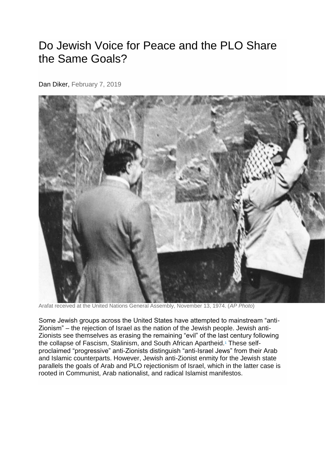## Do Jewish Voice for Peace and the PLO Share the Same Goals?

[Dan Diker,](http://jcpa.org/researcher/dan-diker/) February 7, 2019



Arafat received at the United Nations General Assembly, November 13, 1974. (*AP Photo*)

Some Jewish groups across the United States have attempted to mainstream "anti-Zionism" – the rejection of Israel as the nation of the Jewish people. Jewish anti-Zionists see themselves as erasing the remaining "evil" of the last century following the collapse of Fascism, Stalinism, and South African Apartheid[.](file:///W:/Hans%20va%202009/AppÃ¨l%20K&I/Website/Berichten/Art.%20D.%20Diker_Do%20Jewish%20Voice%20for%20Peace%20and%20the%20PLO%20Share%20the%20Same%20Goals_2018-02.html%23_edn1)<sup>1</sup> These selfproclaimed "progressive" anti-Zionists distinguish "anti-Israel Jews" from their Arab and Islamic counterparts. However, Jewish anti-Zionist enmity for the Jewish state parallels the goals of Arab and PLO rejectionism of Israel, which in the latter case is rooted in Communist, Arab nationalist, and radical Islamist manifestos.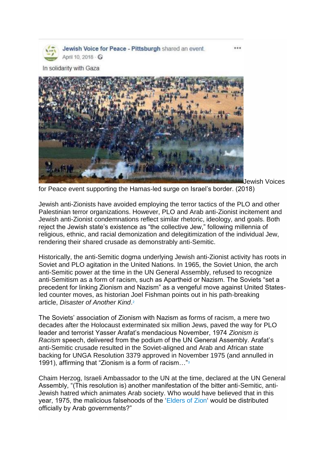

In solidarity with Gaza



Jewish Voices

for Peace event supporting the Hamas-led surge on Israel's border. (2018)

Jewish anti-Zionists have avoided employing the terror tactics of the PLO and other Palestinian terror organizations. However, PLO and Arab anti-Zionist incitement and Jewish anti-Zionist condemnations reflect similar rhetoric, ideology, and goals. Both reject the Jewish state's existence as "the collective Jew," following millennia of religious, ethnic, and racial demonization and delegitimization of the individual Jew, rendering their shared crusade as demonstrably anti-Semitic.

Historically, the anti-Semitic dogma underlying Jewish anti-Zionist activity has roots in Soviet and PLO agitation in the United Nations. In 1965, the Soviet Union, the arch anti-Semitic power at the time in the UN General Assembly, refused to recognize anti-Semitism as a form of racism, such as Apartheid or Nazism. The Soviets "set a precedent for linking Zionism and Nazism" as a vengeful move against United Statesled counter moves, as historian Joel Fishman points out in his path-breaking article, *Disaster of Another Kind*[.](file:///W:/Hans%20va%202009/AppÃ¨l%20K&I/Website/Berichten/Art.%20D.%20Diker_Do%20Jewish%20Voice%20for%20Peace%20and%20the%20PLO%20Share%20the%20Same%20Goals_2018-02.html%23_edn2) 2

The Soviets' association of Zionism with Nazism as forms of racism, a mere two decades after the Holocaust exterminated six million Jews, paved the way for PLO leader and terrorist Yasser Arafat's mendacious November, 1974 *Zionism is Racism* speech, delivered from the podium of the UN General Assembly. Arafat's anti-Semitic crusade resulted in the Soviet-aligned and Arab and African state backing for UNGA Resolution 3379 approved in November 1975 (and annulled in 1991), affirming that "Zionism is a form of racism…["](file:///W:/Hans%20va%202009/AppÃ¨l%20K&I/Website/Berichten/Art.%20D.%20Diker_Do%20Jewish%20Voice%20for%20Peace%20and%20the%20PLO%20Share%20the%20Same%20Goals_2018-02.html%23_edn3)<sup>3</sup>

Chaim Herzog, Israeli Ambassador to the UN at the time, declared at the UN General Assembly, "(This resolution is) another manifestation of the bitter anti-Semitic, anti-Jewish hatred which animates Arab society. Who would have believed that in this year, 1975, the malicious falsehoods of the ['Elders of Zion'](https://en.wikipedia.org/wiki/The_Protocols_of_the_Elders_of_Zion) would be distributed officially by Arab governments?"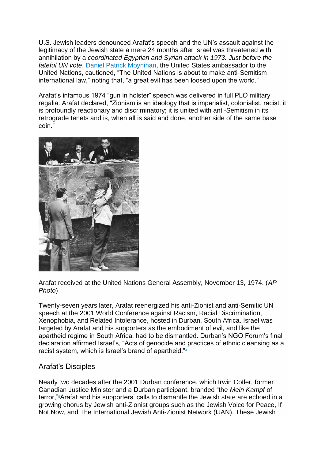U.S. Jewish leaders denounced Arafat's speech and the UN's assault against the legitimacy of the Jewish state a mere 24 months after Israel was threatened with annihilation by a *coordinated Egyptian and Syrian attack in 1973. Just before the fateful UN vote*, [Daniel Patrick Moynihan,](https://en.wikipedia.org/wiki/Daniel_Patrick_Moynihan) the United States ambassador to the United Nations, cautioned, "The United Nations is about to make anti-Semitism international law," noting that, "a great evil has been loosed upon the world."

Arafat's infamous 1974 "gun in holster" speech was delivered in full PLO military regalia. Arafat declared, "Zionism is an ideology that is imperialist, colonialist, racist; it is profoundly reactionary and discriminatory; it is united with anti-Semitism in its retrograde tenets and is, when all is said and done, another side of the same base coin."



Arafat received at the United Nations General Assembly, November 13, 1974. (*AP Photo*)

Twenty-seven years later, Arafat reenergized his anti-Zionist and anti-Semitic UN speech at the 2001 World Conference against Racism, Racial Discrimination, Xenophobia, and Related Intolerance, hosted in Durban, South Africa. Israel was targeted by Arafat and his supporters as the embodiment of evil, and like the apartheid regime in South Africa, had to be dismantled. Durban's NGO Forum's final declaration affirmed Israel's, "Acts of genocide and practices of ethnic cleansing as a racist system, which is Israel's brand of apartheid.["](file:///W:/Hans%20va%202009/AppÃ¨l%20K&I/Website/Berichten/Art.%20D.%20Diker_Do%20Jewish%20Voice%20for%20Peace%20and%20the%20PLO%20Share%20the%20Same%20Goals_2018-02.html%23_edn4)<sup>4</sup>

## Arafat's Disciples

Nearly two decades after the 2001 Durban conference, which Irwin Cotler, former Canadian Justice Minister and a Durban participant, branded "the *Mein Kampf* of terror,["](file:///W:/Hans%20va%202009/AppÃ¨l%20K&I/Website/Berichten/Art.%20D.%20Diker_Do%20Jewish%20Voice%20for%20Peace%20and%20the%20PLO%20Share%20the%20Same%20Goals_2018-02.html%23_edn5)5Arafat and his supporters' calls to dismantle the Jewish state are echoed in a growing chorus by Jewish anti-Zionist groups such as the Jewish Voice for Peace, If Not Now, and The International Jewish Anti-Zionist Network (IJAN). These Jewish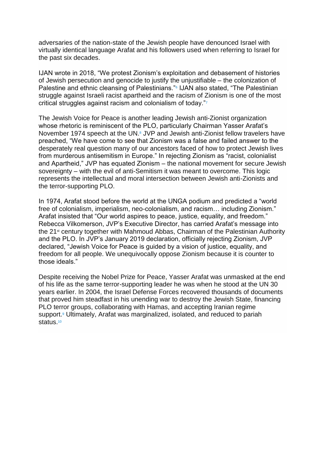adversaries of the nation-state of the Jewish people have denounced Israel with virtually identical language Arafat and his followers used when referring to Israel for the past six decades.

IJAN wrote in 2018, "We protest Zionism's exploitation and debasement of histories of Jewish persecution and genocide to justify the unjustifiable – the colonization of Palestine and ethnic cleansing of Palestinians.["](file:///W:/Hans%20va%202009/AppÃ¨l%20K&I/Website/Berichten/Art.%20D.%20Diker_Do%20Jewish%20Voice%20for%20Peace%20and%20the%20PLO%20Share%20the%20Same%20Goals_2018-02.html%23_edn6)<sup>6</sup> IJAN also stated, "The Palestinian struggle against Israeli racist apartheid and the racism of Zionism is one of the most critical struggles against racism and colonialism of today.["](file:///W:/Hans%20va%202009/AppÃ¨l%20K&I/Website/Berichten/Art.%20D.%20Diker_Do%20Jewish%20Voice%20for%20Peace%20and%20the%20PLO%20Share%20the%20Same%20Goals_2018-02.html%23_edn7)<sup>7</sup>

The Jewish Voice for Peace is another leading Jewish anti-Zionist organization whose rhetoric is reminiscent of the PLO, particularly Chairman Yasser Arafat's November 1974 speech at the UN[.](file:///W:/Hans%20va%202009/AppÃ¨l%20K&I/Website/Berichten/Art.%20D.%20Diker_Do%20Jewish%20Voice%20for%20Peace%20and%20the%20PLO%20Share%20the%20Same%20Goals_2018-02.html%23_edn8)<sup>8</sup> JVP and Jewish anti-Zionist fellow travelers have preached, "We have come to see that Zionism was a false and failed answer to the desperately real question many of our ancestors faced of how to protect Jewish lives from murderous antisemitism in Europe." In rejecting Zionism as "racist, colonialist and Apartheid," JVP has equated Zionism – the national movement for secure Jewish sovereignty – with the evil of anti-Semitism it was meant to overcome. This logic represents the intellectual and moral intersection between Jewish anti-Zionists and the terror-supporting PLO.

In 1974, Arafat stood before the world at the UNGA podium and predicted a "world free of colonialism, imperialism, neo-colonialism, and racism… including Zionism." Arafat insisted that "Our world aspires to peace, justice, equality, and freedom." Rebecca Vilkomerson, JVP's Executive Director, has carried Arafat's message into the 21st century together with Mahmoud Abbas, Chairman of the Palestinian Authority and the PLO. In JVP's January 2019 declaration, officially rejecting Zionism, JVP declared, "Jewish Voice for Peace is guided by a vision of justice, equality, and freedom for all people. We unequivocally oppose Zionism because it is counter to those ideals."

Despite receiving the Nobel Prize for Peace, Yasser Arafat was unmasked at the end of his life as the same terror-supporting leader he was when he stood at the UN 30 years earlier. In 2004, the Israel Defense Forces recovered thousands of documents that proved him steadfast in his unending war to destroy the Jewish State, financing PLO terror groups, collaborating with Hamas, and accepting Iranian regime support[.](file:///W:/Hans%20va%202009/AppÃ¨l%20K&I/Website/Berichten/Art.%20D.%20Diker_Do%20Jewish%20Voice%20for%20Peace%20and%20the%20PLO%20Share%20the%20Same%20Goals_2018-02.html%23_edn9)<sup>9</sup> Ultimately, Arafat was marginalized, isolated, and reduced to pariah status.[10](file:///W:/Hans%20va%202009/AppÃ¨l%20K&I/Website/Berichten/Art.%20D.%20Diker_Do%20Jewish%20Voice%20for%20Peace%20and%20the%20PLO%20Share%20the%20Same%20Goals_2018-02.html%23_edn10)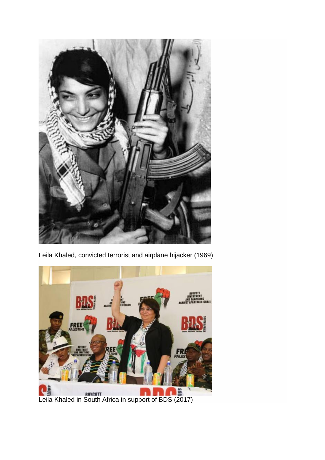

Leila Khaled, convicted terrorist and airplane hijacker (1969)